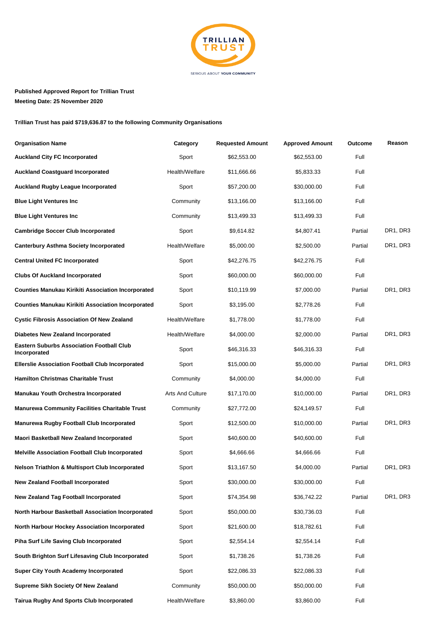

## **Published Approved Report for Trillian Trust Meeting Date: 25 November 2020**

**Trillian Trust has paid \$719,636.87 to the following Community Organisations**

| <b>Organisation Name</b>                                         | Category                | <b>Requested Amount</b> | <b>Approved Amount</b> | Outcome | Reason   |
|------------------------------------------------------------------|-------------------------|-------------------------|------------------------|---------|----------|
| <b>Auckland City FC Incorporated</b>                             | Sport                   | \$62,553.00             | \$62,553.00            | Full    |          |
| <b>Auckland Coastguard Incorporated</b>                          | Health/Welfare          | \$11,666.66             | \$5,833.33             | Full    |          |
| <b>Auckland Rugby League Incorporated</b>                        | Sport                   | \$57,200.00             | \$30,000.00            | Full    |          |
| <b>Blue Light Ventures Inc</b>                                   | Community               | \$13,166.00             | \$13,166.00            | Full    |          |
| <b>Blue Light Ventures Inc</b>                                   | Community               | \$13,499.33             | \$13,499.33            | Full    |          |
| <b>Cambridge Soccer Club Incorporated</b>                        | Sport                   | \$9,614.82              | \$4,807.41             | Partial | DR1, DR3 |
| <b>Canterbury Asthma Society Incorporated</b>                    | Health/Welfare          | \$5,000.00              | \$2,500.00             | Partial | DR1, DR3 |
| <b>Central United FC Incorporated</b>                            | Sport                   | \$42,276.75             | \$42,276.75            | Full    |          |
| <b>Clubs Of Auckland Incorporated</b>                            | Sport                   | \$60,000.00             | \$60,000.00            | Full    |          |
| <b>Counties Manukau Kirikiti Association Incorporated</b>        | Sport                   | \$10,119.99             | \$7,000.00             | Partial | DR1, DR3 |
| <b>Counties Manukau Kirikiti Association Incorporated</b>        | Sport                   | \$3,195.00              | \$2,778.26             | Full    |          |
| <b>Cystic Fibrosis Association Of New Zealand</b>                | Health/Welfare          | \$1,778.00              | \$1,778.00             | Full    |          |
| <b>Diabetes New Zealand Incorporated</b>                         | Health/Welfare          | \$4,000.00              | \$2,000.00             | Partial | DR1, DR3 |
| <b>Eastern Suburbs Association Football Club</b><br>Incorporated | Sport                   | \$46,316.33             | \$46,316.33            | Full    |          |
| <b>Ellerslie Association Football Club Incorporated</b>          | Sport                   | \$15,000.00             | \$5,000.00             | Partial | DR1, DR3 |
| <b>Hamilton Christmas Charitable Trust</b>                       | Community               | \$4,000.00              | \$4,000.00             | Full    |          |
| <b>Manukau Youth Orchestra Incorporated</b>                      | <b>Arts And Culture</b> | \$17,170.00             | \$10,000.00            | Partial | DR1, DR3 |
| <b>Manurewa Community Facilities Charitable Trust</b>            | Community               | \$27,772.00             | \$24,149.57            | Full    |          |
| Manurewa Rugby Football Club Incorporated                        | Sport                   | \$12,500.00             | \$10,000.00            | Partial | DR1, DR3 |
| Maori Basketball New Zealand Incorporated                        | Sport                   | \$40,600.00             | \$40,600.00            | Full    |          |
| <b>Melville Association Football Club Incorporated</b>           | Sport                   | \$4,666.66              | \$4,666.66             | Full    |          |
| <b>Nelson Triathlon &amp; Multisport Club Incorporated</b>       | Sport                   | \$13,167.50             | \$4,000.00             | Partial | DR1, DR3 |
| <b>New Zealand Football Incorporated</b>                         | Sport                   | \$30,000.00             | \$30,000.00            | Full    |          |
| <b>New Zealand Tag Football Incorporated</b>                     | Sport                   | \$74,354.98             | \$36,742.22            | Partial | DR1, DR3 |
| North Harbour Basketball Association Incorporated                | Sport                   | \$50,000.00             | \$30,736.03            | Full    |          |
| <b>North Harbour Hockey Association Incorporated</b>             | Sport                   | \$21,600.00             | \$18,782.61            | Full    |          |
| Piha Surf Life Saving Club Incorporated                          | Sport                   | \$2,554.14              | \$2,554.14             | Full    |          |
| South Brighton Surf Lifesaving Club Incorporated                 | Sport                   | \$1,738.26              | \$1,738.26             | Full    |          |
| <b>Super City Youth Academy Incorporated</b>                     | Sport                   | \$22,086.33             | \$22,086.33            | Full    |          |
| Supreme Sikh Society Of New Zealand                              | Community               | \$50,000.00             | \$50,000.00            | Full    |          |
| Tairua Rugby And Sports Club Incorporated                        | Health/Welfare          | \$3,860.00              | \$3,860.00             | Full    |          |